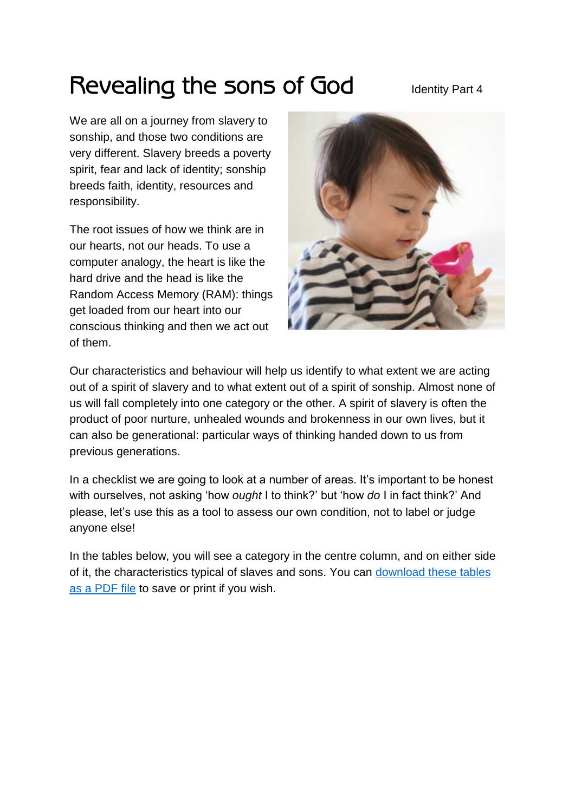## Revealing the sons of God Identity Part 4

We are all on a journey from slavery to sonship, and those two conditions are very different. Slavery breeds a poverty spirit, fear and lack of identity; sonship breeds faith, identity, resources and responsibility.

The root issues of how we think are in our hearts, not our heads. To use a computer analogy, the heart is like the hard drive and the head is like the Random Access Memory (RAM): things get loaded from our heart into our conscious thinking and then we act out of them.



Our characteristics and behaviour will help us identify to what extent we are acting out of a spirit of slavery and to what extent out of a spirit of sonship. Almost none of us will fall completely into one category or the other. A spirit of slavery is often the product of poor nurture, unhealed wounds and brokenness in our own lives, but it can also be generational: particular ways of thinking handed down to us from previous generations.

In a checklist we are going to look at a number of areas. It's important to be honest with ourselves, not asking 'how *ought* I to think?' but 'how *do* I in fact think?' And please, let's use this as a tool to assess our own condition, not to label or judge anyone else!

In the tables below, you will see a category in the centre column, and on either side of it, the characteristics typical of slaves and sons. You can [download these tables](http://www.freedomtrust.org.uk/AR/Presentations/Destiny/slavery%20mentality%20checklist.pdf)  as [a PDF file](http://www.freedomtrust.org.uk/AR/Presentations/Destiny/slavery%20mentality%20checklist.pdf) to save or print if you wish.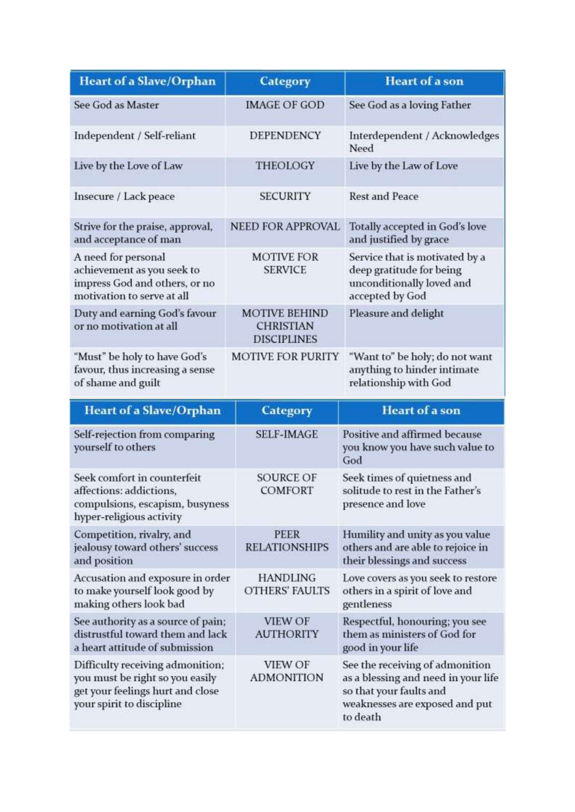| <b>Heart of a Slave/Orphan</b>                                                                                        | <b>Category</b>                                                | <b>Heart of a son</b>                                                                                      |
|-----------------------------------------------------------------------------------------------------------------------|----------------------------------------------------------------|------------------------------------------------------------------------------------------------------------|
| See God as Master                                                                                                     | <b>IMAGE OF GOD</b>                                            | See God as a loving Father                                                                                 |
| Independent / Self-reliant                                                                                            | <b>DEPENDENCY</b>                                              | Interdependent / Acknowledges<br>Need                                                                      |
| Live by the Love of Law                                                                                               | <b>THEOLOGY</b>                                                | Live by the Law of Love                                                                                    |
| Insecure / Lack peace                                                                                                 | <b>SECURITY</b>                                                | <b>Rest and Peace</b>                                                                                      |
| Strive for the praise, approval,<br>and acceptance of man                                                             | <b>NEED FOR APPROVAL</b>                                       | Totally accepted in God's love<br>and justified by grace                                                   |
| A need for personal<br>achievement as you seek to<br>impress God and others, or no<br>motivation to serve at all      | <b>MOTIVE FOR</b><br><b>SERVICE</b>                            | Service that is motivated by a<br>deep gratitude for being<br>unconditionally loved and<br>accepted by God |
| Duty and earning God's favour<br>or no motivation at all                                                              | <b>MOTIVE BEHIND</b><br><b>CHRISTIAN</b><br><b>DISCIPLINES</b> | Pleasure and delight                                                                                       |
| "Must" be holy to have God's<br>favour, thus increasing a sense<br>of shame and guilt                                 | <b>MOTIVE FOR PURITY</b>                                       | "Want to" be holy; do not want<br>anything to hinder intimate<br>relationship with God                     |
| <b>Heart of a Slave/Orphan</b>                                                                                        | <b>Category</b>                                                | <b>Heart of a son</b>                                                                                      |
| Self-rejection from comparing                                                                                         |                                                                |                                                                                                            |
| yourself to others                                                                                                    | <b>SELF-IMAGE</b>                                              | <b>Positive and affirmed because</b><br>you know you have such value to<br>God                             |
| Seek comfort in counterfeit<br>affections: addictions,<br>compulsions, escapism, busyness<br>hyper-religious activity | <b>SOURCE OF</b><br><b>COMFORT</b>                             | Seek times of quietness and<br>solitude to rest in the Father's<br>presence and love                       |
| Competition, rivalry, and<br>jealousy toward others' success<br>and position                                          | <b>PEER</b><br><b>RELATIONSHIPS</b>                            | Humility and unity as you value<br>others and are able to rejoice in<br>their blessings and success        |
| Accusation and exposure in order<br>to make yourself look good by<br>making others look bad                           | <b>HANDLING</b><br><b>OTHERS' FAULTS</b>                       | Love covers as you seek to restore<br>others in a spirit of love and<br>gentleness                         |
| See authority as a source of pain;<br>distrustful toward them and lack<br>a heart attitude of submission              | <b>VIEW OF</b><br><b>AUTHORITY</b>                             | Respectful, honouring; you see<br>them as ministers of God for<br>good in your life                        |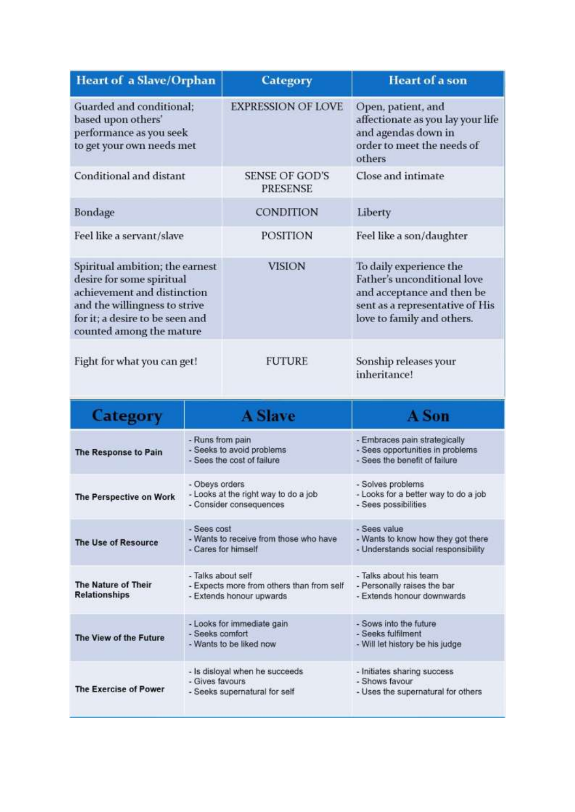| <b>Heart of a Slave/Orphan</b>                                                                                                                                                              | <b>Category</b>                          | <b>Heart of a son</b>                                                                                                                                 |
|---------------------------------------------------------------------------------------------------------------------------------------------------------------------------------------------|------------------------------------------|-------------------------------------------------------------------------------------------------------------------------------------------------------|
| Guarded and conditional;<br>based upon others'<br>performance as you seek<br>to get your own needs met                                                                                      | <b>EXPRESSION OF LOVE</b>                | Open, patient, and<br>affectionate as you lay your life<br>and agendas down in<br>order to meet the needs of<br>others                                |
| Conditional and distant                                                                                                                                                                     | <b>SENSE OF GOD'S</b><br><b>PRESENSE</b> | Close and intimate                                                                                                                                    |
| Bondage                                                                                                                                                                                     | CONDITION                                | Liberty                                                                                                                                               |
| Feel like a servant/slave                                                                                                                                                                   | <b>POSITION</b>                          | Feel like a son/daughter                                                                                                                              |
| Spiritual ambition; the earnest<br>desire for some spiritual<br>achievement and distinction<br>and the willingness to strive<br>for it; a desire to be seen and<br>counted among the mature | <b>VISION</b>                            | To daily experience the<br>Father's unconditional love<br>and acceptance and then be<br>sent as a representative of His<br>love to family and others. |
| Fight for what you can get!                                                                                                                                                                 | <b>FUTURE</b>                            | Sonship releases your<br>inheritance!                                                                                                                 |
| ategory                                                                                                                                                                                     | <b>A Slave</b>                           | A Son                                                                                                                                                 |

| сатедогу                                    | А Энге                                                                                      | А ЭОН                                                                                              |
|---------------------------------------------|---------------------------------------------------------------------------------------------|----------------------------------------------------------------------------------------------------|
| The Response to Pain                        | - Runs from pain<br>- Seeks to avoid problems<br>- Sees the cost of failure                 | - Embraces pain strategically<br>- Sees opportunities in problems<br>- Sees the benefit of failure |
| The Perspective on Work                     | - Obeys orders<br>- Looks at the right way to do a job<br>- Consider consequences           | - Solves problems<br>- Looks for a better way to do a job<br>- Sees possibilities                  |
| <b>The Use of Resource</b>                  | - Sees cost<br>- Wants to receive from those who have<br>- Cares for himself                | - Sees value<br>- Wants to know how they got there<br>- Understands social responsibility          |
| The Nature of Their<br><b>Relationships</b> | - Talks about self<br>- Expects more from others than from self<br>- Extends honour upwards | - Talks about his team<br>- Personally raises the bar<br>- Extends honour downwards                |
| The View of the Future                      | - Looks for immediate gain<br>- Seeks comfort<br>- Wants to be liked now                    | - Sows into the future<br>- Seeks fulfilment<br>- Will let history be his judge                    |
| <b>The Exercise of Power</b>                | - Is disloyal when he succeeds<br>- Gives favours<br>- Seeks supernatural for self          | - Initiates sharing success<br>- Shows favour<br>- Uses the supernatural for others                |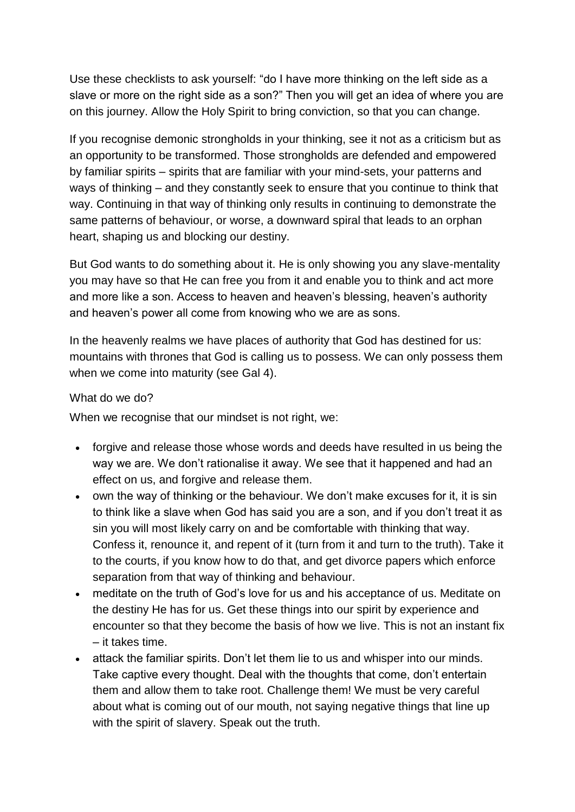Use these checklists to ask yourself: "do I have more thinking on the left side as a slave or more on the right side as a son?" Then you will get an idea of where you are on this journey. Allow the Holy Spirit to bring conviction, so that you can change.

If you recognise demonic strongholds in your thinking, see it not as a criticism but as an opportunity to be transformed. Those strongholds are defended and empowered by familiar spirits – spirits that are familiar with your mind-sets, your patterns and ways of thinking – and they constantly seek to ensure that you continue to think that way. Continuing in that way of thinking only results in continuing to demonstrate the same patterns of behaviour, or worse, a downward spiral that leads to an orphan heart, shaping us and blocking our destiny.

But God wants to do something about it. He is only showing you any slave-mentality you may have so that He can free you from it and enable you to think and act more and more like a son. Access to heaven and heaven's blessing, heaven's authority and heaven's power all come from knowing who we are as sons.

In the heavenly realms we have places of authority that God has destined for us: mountains with thrones that God is calling us to possess. We can only possess them when we come into maturity (see Gal 4).

## What do we do?

When we recognise that our mindset is not right, we:

- forgive and release those whose words and deeds have resulted in us being the way we are. We don't rationalise it away. We see that it happened and had an effect on us, and forgive and release them.
- own the way of thinking or the behaviour. We don't make excuses for it, it is sin to think like a slave when God has said you are a son, and if you don't treat it as sin you will most likely carry on and be comfortable with thinking that way. Confess it, renounce it, and repent of it (turn from it and turn to the truth). Take it to the courts, if you know how to do that, and get divorce papers which enforce separation from that way of thinking and behaviour.
- meditate on the truth of God's love for us and his acceptance of us. Meditate on the destiny He has for us. Get these things into our spirit by experience and encounter so that they become the basis of how we live. This is not an instant fix – it takes time.
- attack the familiar spirits. Don't let them lie to us and whisper into our minds. Take captive every thought. Deal with the thoughts that come, don't entertain them and allow them to take root. Challenge them! We must be very careful about what is coming out of our mouth, not saying negative things that line up with the spirit of slavery. Speak out the truth.